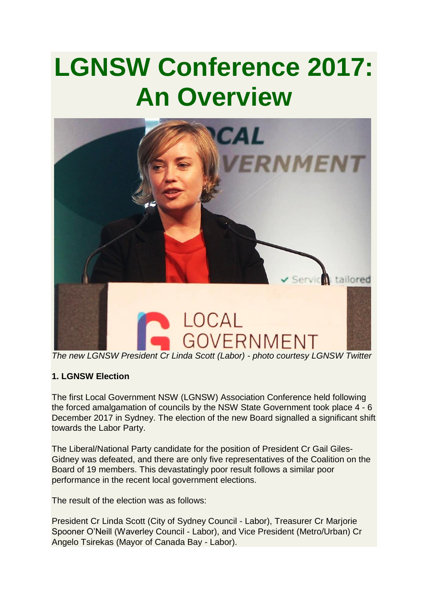# **LGNSW Conference 2017: An Overview**



*The new LGNSW President Cr Linda Scott (Labor) - photo courtesy LGNSW Twitter*

# **1. LGNSW Election**

The first Local Government NSW (LGNSW) Association Conference held following the forced amalgamation of councils by the NSW State Government took place 4 - 6 December 2017 in Sydney. The election of the new Board signalled a significant shift towards the Labor Party.

The Liberal/National Party candidate for the position of President Cr Gail Giles-Gidney was defeated, and there are only five representatives of the Coalition on the Board of 19 members. This devastatingly poor result follows a similar poor performance in the recent local government elections.

The result of the election was as follows:

President Cr Linda Scott (City of Sydney Council - Labor), Treasurer Cr Marjorie Spooner O'Neill (Waverley Council - Labor), and Vice President (Metro/Urban) Cr Angelo Tsirekas (Mayor of Canada Bay - Labor).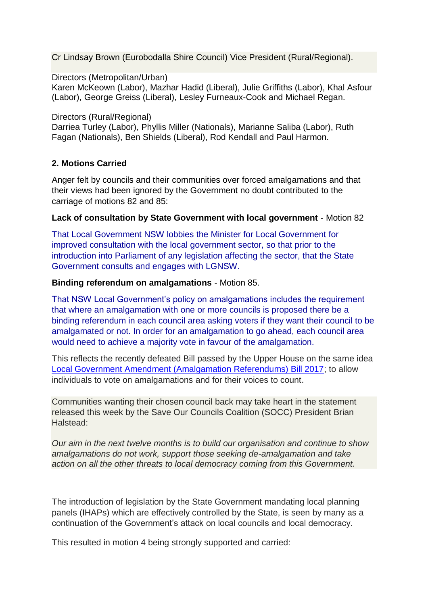Cr Lindsay Brown (Eurobodalla Shire Council) Vice President (Rural/Regional).

Directors (Metropolitan/Urban)

Karen McKeown (Labor), Mazhar Hadid (Liberal), Julie Griffiths (Labor), Khal Asfour (Labor), George Greiss (Liberal), Lesley Furneaux-Cook and Michael Regan.

Directors (Rural/Regional)

Darriea Turley (Labor), Phyllis Miller (Nationals), Marianne Saliba (Labor), Ruth Fagan (Nationals), Ben Shields (Liberal), Rod Kendall and Paul Harmon.

## **2. Motions Carried**

Anger felt by councils and their communities over forced amalgamations and that their views had been ignored by the Government no doubt contributed to the carriage of motions 82 and 85:

#### **Lack of consultation by State Government with local government** - Motion 82

That Local Government NSW lobbies the Minister for Local Government for improved consultation with the local government sector, so that prior to the introduction into Parliament of any legislation affecting the sector, that the State Government consults and engages with LGNSW.

#### **Binding referendum on amalgamations** - Motion 85.

That NSW Local Government's policy on amalgamations includes the requirement that where an amalgamation with one or more councils is proposed there be a binding referendum in each council area asking voters if they want their council to be amalgamated or not. In order for an amalgamation to go ahead, each council area would need to achieve a majority vote in favour of the amalgamation.

This reflects the recently defeated Bill passed by the Upper House on the same idea [Local Government Amendment \(Amalgamation Referendums\) Bill 2017;](https://www.parliament.nsw.gov.au/bills/Pages/bill-details.aspx?pk=3368) to allow individuals to vote on amalgamations and for their voices to count.

Communities wanting their chosen council back may take heart in the statement released this week by the Save Our Councils Coalition (SOCC) President Brian Halstead:

*Our aim in the next twelve months is to build our organisation and continue to show amalgamations do not work, support those seeking de-amalgamation and take action on all the other threats to local democracy coming from this Government.*

The introduction of legislation by the State Government mandating local planning panels (IHAPs) which are effectively controlled by the State, is seen by many as a continuation of the Government's attack on local councils and local democracy.

This resulted in motion 4 being strongly supported and carried: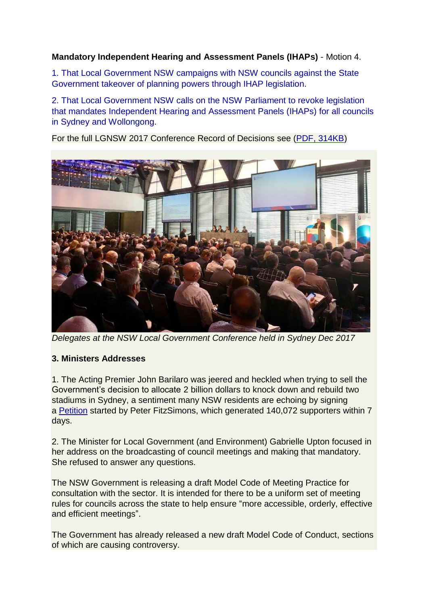# **Mandatory Independent Hearing and Assessment Panels (IHAPs)** - Motion 4.

1. That Local Government NSW campaigns with NSW councils against the State Government takeover of planning powers through IHAP legislation.

2. That Local Government NSW calls on the NSW Parliament to revoke legislation that mandates Independent Hearing and Assessment Panels (IHAPs) for all councils in Sydney and Wollongong.

For the full LGNSW 2017 Conference Record of Decisions see [\(PDF, 314KB\)](https://www.lgnsw.org.au/files/imce-uploads/90/RECORD-OF-DECISIONS-2017-LGNSW-Conference-Final.pdf)



*Delegates at the NSW Local Government Conference held in Sydney Dec 2017*

# **3. Ministers Addresses**

1. The Acting Premier John Barilaro was jeered and heckled when trying to sell the Government's decision to allocate 2 billion dollars to knock down and rebuild two stadiums in Sydney, a sentiment many NSW residents are echoing by signing a [Petition](https://www.change.org/p/premier-berejiklian-stop-nsw-government-wasting-2b-rebuilding-sfs-olympic-stadiums/fbog/46631690?recruiter=46631690&utm_source=share_petition&utm_medium=facebook&utm_campaign=autopublish&utm_term=psf_combo_share_initial.combo_new_control_progress_110217winners) started by Peter FitzSimons, which generated 140,072 supporters within 7 days.

2. The Minister for Local Government (and Environment) Gabrielle Upton focused in her address on the broadcasting of council meetings and making that mandatory. She refused to answer any questions.

The NSW Government is releasing a draft Model Code of Meeting Practice for consultation with the sector. It is intended for there to be a uniform set of meeting rules for councils across the state to help ensure "more accessible, orderly, effective and efficient meetings".

The Government has already released a new draft Model Code of Conduct, sections of which are causing controversy.